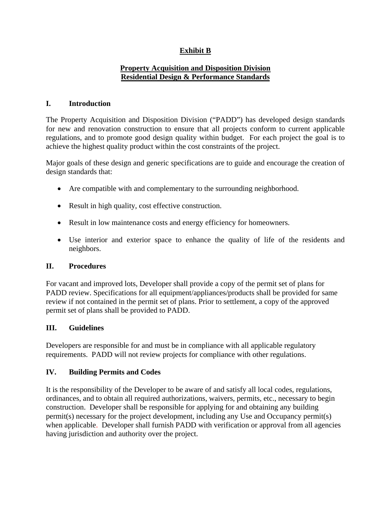# **Exhibit B**

### **Property Acquisition and Disposition Division Residential Design & Performance Standards**

### **I. Introduction**

The Property Acquisition and Disposition Division ("PADD") has developed design standards for new and renovation construction to ensure that all projects conform to current applicable regulations, and to promote good design quality within budget. For each project the goal is to achieve the highest quality product within the cost constraints of the project.

Major goals of these design and generic specifications are to guide and encourage the creation of design standards that:

- Are compatible with and complementary to the surrounding neighborhood.
- Result in high quality, cost effective construction.
- Result in low maintenance costs and energy efficiency for homeowners.
- Use interior and exterior space to enhance the quality of life of the residents and neighbors.

### **II. Procedures**

For vacant and improved lots, Developer shall provide a copy of the permit set of plans for PADD review. Specifications for all equipment/appliances/products shall be provided for same review if not contained in the permit set of plans. Prior to settlement, a copy of the approved permit set of plans shall be provided to PADD.

### **III. Guidelines**

Developers are responsible for and must be in compliance with all applicable regulatory requirements. PADD will not review projects for compliance with other regulations.

### **IV. Building Permits and Codes**

It is the responsibility of the Developer to be aware of and satisfy all local codes, regulations, ordinances, and to obtain all required authorizations, waivers, permits, etc., necessary to begin construction. Developer shall be responsible for applying for and obtaining any building permit(s) necessary for the project development, including any Use and Occupancy permit(s) when applicable. Developer shall furnish PADD with verification or approval from all agencies having jurisdiction and authority over the project.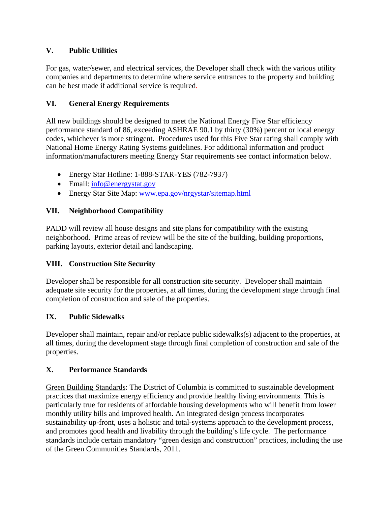## **V. Public Utilities**

For gas, water/sewer, and electrical services, the Developer shall check with the various utility companies and departments to determine where service entrances to the property and building can be best made if additional service is required.

## **VI. General Energy Requirements**

All new buildings should be designed to meet the National Energy Five Star efficiency performance standard of 86, exceeding ASHRAE 90.1 by thirty (30%) percent or local energy codes, whichever is more stringent. Procedures used for this Five Star rating shall comply with National Home Energy Rating Systems guidelines. For additional information and product information/manufacturers meeting Energy Star requirements see contact information below.

- Energy Star Hotline: 1-888-STAR-YES (782-7937)
- Email: info@energystat.gov
- Energy Star Site Map: www.epa.gov/nrgystar/sitemap.html

## **VII. Neighborhood Compatibility**

PADD will review all house designs and site plans for compatibility with the existing neighborhood. Prime areas of review will be the site of the building, building proportions, parking layouts, exterior detail and landscaping.

### **VIII. Construction Site Security**

Developer shall be responsible for all construction site security. Developer shall maintain adequate site security for the properties, at all times, during the development stage through final completion of construction and sale of the properties.

### **IX. Public Sidewalks**

Developer shall maintain, repair and/or replace public sidewalks(s) adjacent to the properties, at all times, during the development stage through final completion of construction and sale of the properties.

### **X. Performance Standards**

Green Building Standards: The District of Columbia is committed to sustainable development practices that maximize energy efficiency and provide healthy living environments. This is particularly true for residents of affordable housing developments who will benefit from lower monthly utility bills and improved health. An integrated design process incorporates sustainability up-front, uses a holistic and total-systems approach to the development process, and promotes good health and livability through the building's life cycle. The performance standards include certain mandatory "green design and construction" practices, including the use of the Green Communities Standards, 2011.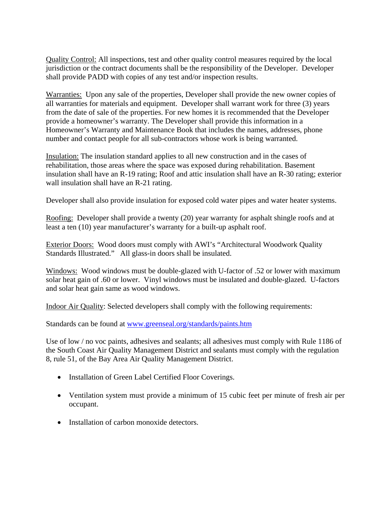Quality Control: All inspections, test and other quality control measures required by the local jurisdiction or the contract documents shall be the responsibility of the Developer. Developer shall provide PADD with copies of any test and/or inspection results.

Warranties: Upon any sale of the properties, Developer shall provide the new owner copies of all warranties for materials and equipment. Developer shall warrant work for three (3) years from the date of sale of the properties. For new homes it is recommended that the Developer provide a homeowner's warranty. The Developer shall provide this information in a Homeowner's Warranty and Maintenance Book that includes the names, addresses, phone number and contact people for all sub-contractors whose work is being warranted.

Insulation: The insulation standard applies to all new construction and in the cases of rehabilitation, those areas where the space was exposed during rehabilitation. Basement insulation shall have an R-19 rating; Roof and attic insulation shall have an R-30 rating; exterior wall insulation shall have an R-21 rating.

Developer shall also provide insulation for exposed cold water pipes and water heater systems.

Roofing: Developer shall provide a twenty (20) year warranty for asphalt shingle roofs and at least a ten (10) year manufacturer's warranty for a built-up asphalt roof.

Exterior Doors: Wood doors must comply with AWI's "Architectural Woodwork Quality Standards Illustrated." All glass-in doors shall be insulated.

Windows: Wood windows must be double-glazed with U-factor of .52 or lower with maximum solar heat gain of .60 or lower. Vinyl windows must be insulated and double-glazed. U-factors and solar heat gain same as wood windows.

Indoor Air Quality: Selected developers shall comply with the following requirements:

Standards can be found at www.greenseal.org/standards/paints.htm

Use of low / no voc paints, adhesives and sealants; all adhesives must comply with Rule 1186 of the South Coast Air Quality Management District and sealants must comply with the regulation 8, rule 51, of the Bay Area Air Quality Management District.

- Installation of Green Label Certified Floor Coverings.
- Ventilation system must provide a minimum of 15 cubic feet per minute of fresh air per occupant.
- Installation of carbon monoxide detectors.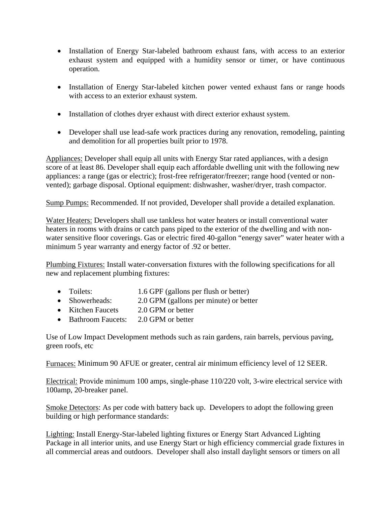- Installation of Energy Star-labeled bathroom exhaust fans, with access to an exterior exhaust system and equipped with a humidity sensor or timer, or have continuous operation.
- Installation of Energy Star-labeled kitchen power vented exhaust fans or range hoods with access to an exterior exhaust system.
- Installation of clothes dryer exhaust with direct exterior exhaust system.
- Developer shall use lead-safe work practices during any renovation, remodeling, painting and demolition for all properties built prior to 1978.

Appliances: Developer shall equip all units with Energy Star rated appliances, with a design score of at least 86. Developer shall equip each affordable dwelling unit with the following new appliances: a range (gas or electric); frost-free refrigerator/freezer; range hood (vented or nonvented); garbage disposal. Optional equipment: dishwasher, washer/dryer, trash compactor.

Sump Pumps: Recommended. If not provided, Developer shall provide a detailed explanation.

Water Heaters: Developers shall use tankless hot water heaters or install conventional water heaters in rooms with drains or catch pans piped to the exterior of the dwelling and with nonwater sensitive floor coverings. Gas or electric fired 40-gallon "energy saver" water heater with a minimum 5 year warranty and energy factor of .92 or better.

Plumbing Fixtures: Install water-conversation fixtures with the following specifications for all new and replacement plumbing fixtures:

- Toilets: 1.6 GPF (gallons per flush or better)
- Showerheads: 2.0 GPM (gallons per minute) or better
- Kitchen Faucets 2.0 GPM or better
- Bathroom Faucets: 2.0 GPM or better

Use of Low Impact Development methods such as rain gardens, rain barrels, pervious paving, green roofs, etc

Furnaces: Minimum 90 AFUE or greater, central air minimum efficiency level of 12 SEER.

Electrical: Provide minimum 100 amps, single-phase 110/220 volt, 3-wire electrical service with 100amp, 20-breaker panel.

Smoke Detectors: As per code with battery back up. Developers to adopt the following green building or high performance standards:

Lighting: Install Energy-Star-labeled lighting fixtures or Energy Start Advanced Lighting Package in all interior units, and use Energy Start or high efficiency commercial grade fixtures in all commercial areas and outdoors. Developer shall also install daylight sensors or timers on all